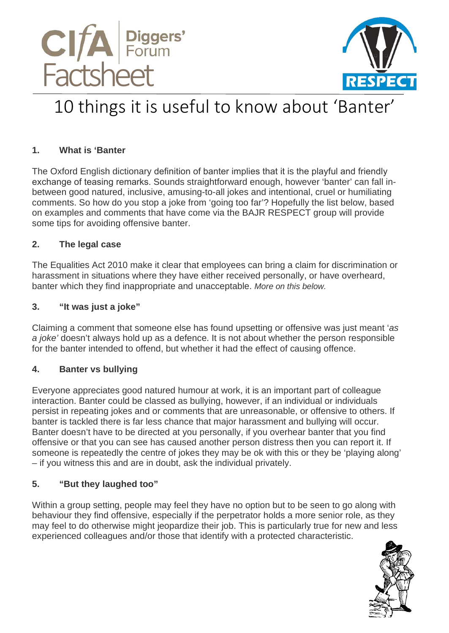



# 10 things it is useful to know about 'Banter'

### **1. What is 'Banter**

The Oxford English dictionary definition of banter implies that it is the playful and friendly exchange of teasing remarks. Sounds straightforward enough, however 'banter' can fall inbetween good natured, inclusive, amusing-to-all jokes and intentional, cruel or humiliating comments. So how do you stop a joke from 'going too far'? Hopefully the list below, based on examples and comments that have come via the BAJR RESPECT group will provide some tips for avoiding offensive banter.

### **2. The legal case**

The Equalities Act 2010 make it clear that employees can bring a claim for discrimination or harassment in situations where they have either received personally, or have overheard, banter which they find inappropriate and unacceptable. *More on this below.*

#### **3. "It was just a joke"**

Claiming a comment that someone else has found upsetting or offensive was just meant '*as a joke'* doesn't always hold up as a defence. It is not about whether the person responsible for the banter intended to offend, but whether it had the effect of causing offence.

### **4. Banter vs bullying**

Everyone appreciates good natured humour at work, it is an important part of colleague interaction. Banter could be classed as bullying, however, if an individual or individuals persist in repeating jokes and or comments that are unreasonable, or offensive to others. If banter is tackled there is far less chance that major harassment and bullying will occur. Banter doesn't have to be directed at you personally, if you overhear banter that you find offensive or that you can see has caused another person distress then you can report it. If someone is repeatedly the centre of jokes they may be ok with this or they be 'playing along' – if you witness this and are in doubt, ask the individual privately.

### **5. "But they laughed too"**

Within a group setting, people may feel they have no option but to be seen to go along with behaviour they find offensive, especially if the perpetrator holds a more senior role, as they may feel to do otherwise might jeopardize their job. This is particularly true for new and less experienced colleagues and/or those that identify with a protected characteristic.